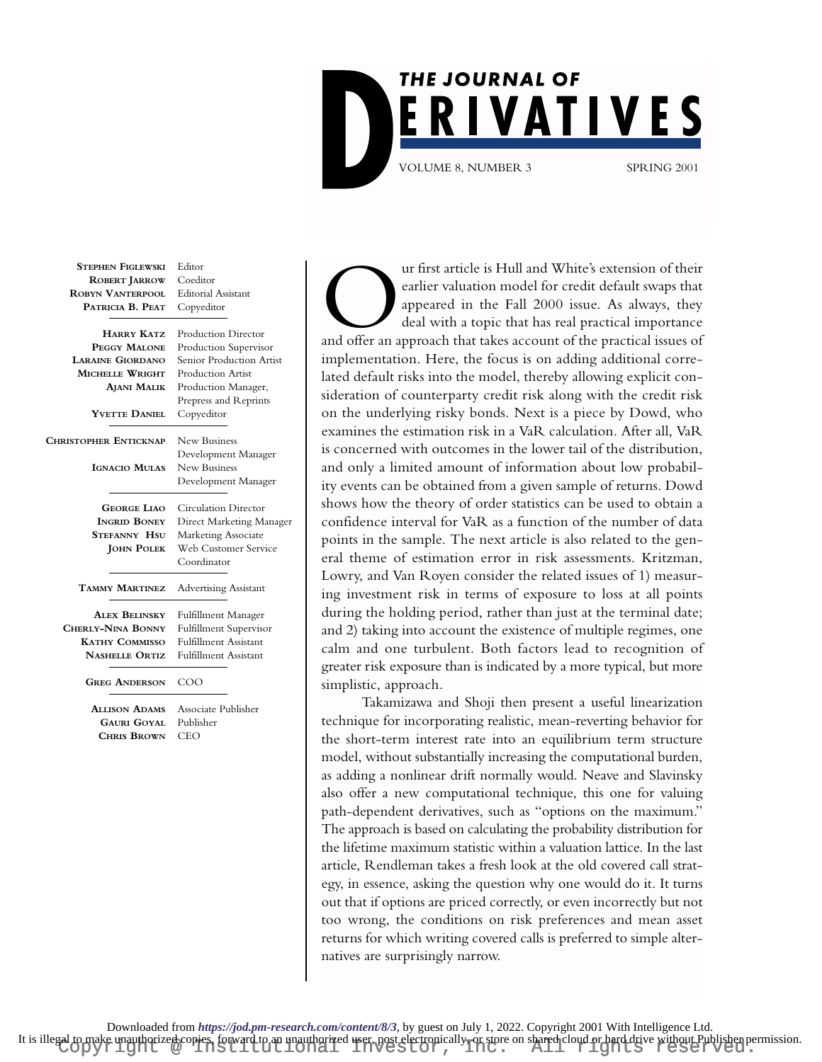

| <b>STEPHEN FIGLEWSKI</b><br><b>ROBERT JARROW</b><br><b>ROBYN VANTERPOOL</b><br>PATRICIA B. PEAT                        | Editor<br>Coeditor<br><b>Editorial Assistant</b><br>Copyeditor                                                                                                     |
|------------------------------------------------------------------------------------------------------------------------|--------------------------------------------------------------------------------------------------------------------------------------------------------------------|
| <b>HARRY KATZ</b><br>PEGGY MALONE<br><b>LARAINE GIORDANO</b><br>MICHELLE WRIGHT<br><b>AJANI MALIK</b><br>YVETTE DANIEL | <b>Production Director</b><br>Production Supervisor<br>Senior Production Artist<br>Production Artist<br>Production Manager,<br>Prepress and Reprints<br>Copyeditor |
| Christopher Enticknap<br><b>IGNACIO MULAS</b>                                                                          | New Business<br>Development Manager<br><b>New Business</b><br>Development Manager                                                                                  |
| <b>GEORGE LIAO</b><br><b>INGRID BONEY</b><br>STEFANNY HSU<br><b>JOHN POLEK</b>                                         | <b>Circulation Director</b><br>Direct Marketing Manager<br><b>Marketing Associate</b><br>Web Customer Service<br>Coordinator                                       |
| <b>TAMMY MARTINEZ</b>                                                                                                  | <b>Advertising Assistant</b>                                                                                                                                       |
| <b>ALEX BELINSKY</b><br><b>CHERLY-NINA BONNY</b><br><b>KATHY COMMISSO</b><br><b>NASHELLE ORTIZ</b>                     | Fulfillment Manager<br><b>Fulfillment Supervisor</b><br><b>Fulfillment Assistant</b><br><b>Fulfillment Assistant</b>                                               |
| <b>GREG ANDERSON</b><br><b>ALLISON ADAMS</b><br>Gauri Goyal<br><b>CHRIS BROWN</b>                                      | COO<br>Associate Publisher<br>Publisher<br>CEO                                                                                                                     |
|                                                                                                                        |                                                                                                                                                                    |

The ur first article is Hull and White's extension of their<br>
earlier valuation model for credit default swaps that<br>
appeared in the Fall 2000 issue. As always, they<br>
deal with a topic that has real practical importance<br>
an earlier valuation model for credit default swaps that appeared in the Fall 2000 issue. As always, they deal with a topic that has real practical importance implementation. Here, the focus is on adding additional correlated default risks into the model, thereby allowing explicit consideration of counterparty credit risk along with the credit risk on the underlying risky bonds. Next is a piece by Dowd, who examines the estimation risk in a VaR calculation. After all, VaR is concerned with outcomes in the lower tail of the distribution, and only a limited amount of information about low probability events can be obtained from a given sample of returns. Dowd shows how the theory of order statistics can be used to obtain a confidence interval for VaR as a function of the number of data points in the sample. The next article is also related to the general theme of estimation error in risk assessments. Kritzman, Lowry, and Van Royen consider the related issues of 1) measuring investment risk in terms of exposure to loss at all points during the holding period, rather than just at the terminal date; and 2) taking into account the existence of multiple regimes, one calm and one turbulent. Both factors lead to recognition of greater risk exposure than is indicated by a more typical, but more simplistic, approach.

Takamizawa and Shoji then present a useful linearization technique for incorporating realistic, mean-reverting behavior for the short-term interest rate into an equilibrium term structure model, without substantially increasing the computational burden, as adding a nonlinear drift normally would. Neave and Slavinsky also offer a new computational technique, this one for valuing path-dependent derivatives, such as "options on the maximum." The approach is based on calculating the probability distribution for the lifetime maximum statistic within a valuation lattice. In the last article, Rendleman takes a fresh look at the old covered call strategy, in essence, asking the question why one would do it. It turns out that if options are priced correctly, or even incorrectly but not too wrong, the conditions on risk preferences and mean asset returns for which writing covered calls is preferred to simple alternatives are surprisingly narrow.

It is illegal to make unauthorized copies, forward to an unauthorized user, post electronically, or store on shared cloud or hard drive without Publisher permission. Downloaded from *https://jod.pm-research.com/content/8/3*, by guest on July 1, 2022. Copyright 2001 With Intelligence Ltd.